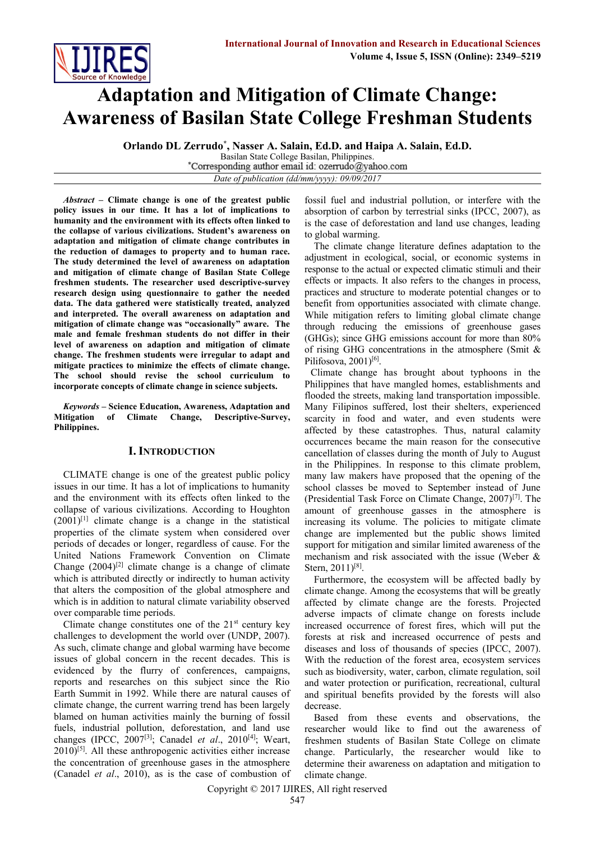

# **Adaptation and Mitigation of Climate Change: Awareness of Basilan State College Freshman Students**

**Orlando DL Zerrudo\* , Nasser A. Salain, Ed.D. and Haipa A. Salain, Ed.D.**

Basilan State College Basilan, Philippines.<br>Corresponding author email id: ozerrudo@yahoo.com

*Date of publication (dd/mm/yyyy): 09/09/2017*

*Abstract* **– Climate change is one of the greatest public policy issues in our time. It has a lot of implications to humanity and the environment with its effects often linked to the collapse of various civilizations. Student's awareness on adaptation and mitigation of climate change contributes in the reduction of damages to property and to human race. The study determined the level of awareness on adaptation and mitigation of climate change of Basilan State College freshmen students. The researcher used descriptive-survey research design using questionnaire to gather the needed data. The data gathered were statistically treated, analyzed and interpreted. The overall awareness on adaptation and mitigation of climate change was "occasionally" aware. The male and female freshman students do not differ in their level of awareness on adaption and mitigation of climate change. The freshmen students were irregular to adapt and mitigate practices to minimize the effects of climate change. The school should revise the school curriculum to incorporate concepts of climate change in science subjects.** 

*Keywords –* **Science Education, Awareness, Adaptation and Mitigation of Climate Change, Descriptive-Survey, Philippines.**

# **I. INTRODUCTION**

CLIMATE change is one of the greatest public policy issues in our time. It has a lot of implications to humanity and the environment with its effects often linked to the collapse of various civilizations. According to Houghton  $(2001)^{[1]}$  climate change is a change in the statistical properties of the climate system when considered over periods of decades or longer, regardless of cause. For the United Nations Framework Convention on Climate Change  $(2004)^{[2]}$  climate change is a change of climate which is attributed directly or indirectly to human activity that alters the composition of the global atmosphere and which is in addition to natural climate variability observed over comparable time periods.

Climate change constitutes one of the  $21<sup>st</sup>$  century key challenges to development the world over (UNDP, 2007). As such, climate change and global warming have become issues of global concern in the recent decades. This is evidenced by the flurry of conferences, campaigns, reports and researches on this subject since the Rio Earth Summit in 1992. While there are natural causes of climate change, the current warring trend has been largely blamed on human activities mainly the burning of fossil fuels, industrial pollution, deforestation, and land use changes (IPCC, 2007[3]; Canadel *et al*., 2010[4] ; Weart,  $2010$ <sup>[5]</sup>. All these anthropogenic activities either increase the concentration of greenhouse gases in the atmosphere (Canadel *et al*., 2010), as is the case of combustion of

fossil fuel and industrial pollution, or interfere with the absorption of carbon by terrestrial sinks (IPCC, 2007), as is the case of deforestation and land use changes, leading to global warming.

The climate change literature defines adaptation to the adjustment in ecological, social, or economic systems in response to the actual or expected climatic stimuli and their effects or impacts. It also refers to the changes in process, practices and structure to moderate potential changes or to benefit from opportunities associated with climate change. While mitigation refers to limiting global climate change through reducing the emissions of greenhouse gases (GHGs); since GHG emissions account for more than 80% of rising GHG concentrations in the atmosphere (Smit & Pilifosova, 2001)<sup>[6]</sup>.

Climate change has brought about typhoons in the Philippines that have mangled homes, establishments and flooded the streets, making land transportation impossible. Many Filipinos suffered, lost their shelters, experienced scarcity in food and water, and even students were affected by these catastrophes. Thus, natural calamity occurrences became the main reason for the consecutive cancellation of classes during the month of July to August in the Philippines. In response to this climate problem, many law makers have proposed that the opening of the school classes be moved to September instead of June (Presidential Task Force on Climate Change, 2007)[7] . The amount of greenhouse gasses in the atmosphere is increasing its volume. The policies to mitigate climate change are implemented but the public shows limited support for mitigation and similar limited awareness of the mechanism and risk associated with the issue (Weber & Stern, 2011)<sup>[8]</sup>.

Furthermore, the ecosystem will be affected badly by climate change. Among the ecosystems that will be greatly affected by climate change are the forests. Projected adverse impacts of climate change on forests include increased occurrence of forest fires, which will put the forests at risk and increased occurrence of pests and diseases and loss of thousands of species (IPCC, 2007). With the reduction of the forest area, ecosystem services such as biodiversity, water, carbon, climate regulation, soil and water protection or purification, recreational, cultural and spiritual benefits provided by the forests will also decrease.

Based from these events and observations, the researcher would like to find out the awareness of freshmen students of Basilan State College on climate change. Particularly, the researcher would like to determine their awareness on adaptation and mitigation to climate change.

Copyright © 2017 IJIRES, All right reserved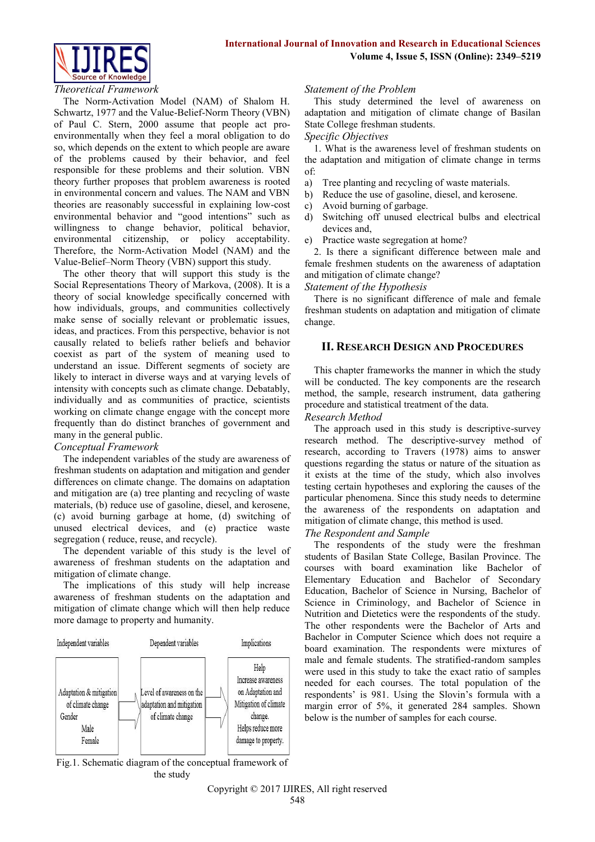

#### *Theoretical Framework*

The Norm-Activation Model (NAM) of Shalom H. Schwartz, 1977 and the Value-Belief-Norm Theory (VBN) of Paul C. Stern, 2000 assume that people act proenvironmentally when they feel a moral obligation to do so, which depends on the extent to which people are aware of the problems caused by their behavior, and feel responsible for these problems and their solution. VBN theory further proposes that problem awareness is rooted in environmental concern and values. The NAM and VBN theories are reasonably successful in explaining low-cost environmental behavior and "good intentions" such as willingness to change behavior, political behavior, environmental citizenship, or policy acceptability. Therefore, the Norm-Activation Model (NAM) and the Value-Belief–Norm Theory (VBN) support this study.

The other theory that will support this study is the Social Representations Theory of Markova, (2008). It is a theory of social knowledge specifically concerned with how individuals, groups, and communities collectively make sense of socially relevant or problematic issues, ideas, and practices. From this perspective, behavior is not causally related to beliefs rather beliefs and behavior coexist as part of the system of meaning used to understand an issue. Different segments of society are likely to interact in diverse ways and at varying levels of intensity with concepts such as climate change. Debatably, individually and as communities of practice, scientists working on climate change engage with the concept more frequently than do distinct branches of government and many in the general public.

## *Conceptual Framework*

The independent variables of the study are awareness of freshman students on adaptation and mitigation and gender differences on climate change. The domains on adaptation and mitigation are (a) tree planting and recycling of waste materials, (b) reduce use of gasoline, diesel, and kerosene, (c) avoid burning garbage at home, (d) switching of unused electrical devices, and (e) practice waste segregation ( reduce, reuse, and recycle).

The dependent variable of this study is the level of awareness of freshman students on the adaptation and mitigation of climate change.

The implications of this study will help increase awareness of freshman students on the adaptation and mitigation of climate change which will then help reduce more damage to property and humanity.



#### Fig.1. Schematic diagram of the conceptual framework of the study

## *Statement of the Problem*

This study determined the level of awareness on adaptation and mitigation of climate change of Basilan State College freshman students.

#### *Specific Objectives*

1. What is the awareness level of freshman students on the adaptation and mitigation of climate change in terms of:

- a) Tree planting and recycling of waste materials.
- b) Reduce the use of gasoline, diesel, and kerosene.
- c) Avoid burning of garbage.
- d) Switching off unused electrical bulbs and electrical devices and,
- e) Practice waste segregation at home?

2. Is there a significant difference between male and female freshmen students on the awareness of adaptation and mitigation of climate change?

#### *Statement of the Hypothesis*

There is no significant difference of male and female freshman students on adaptation and mitigation of climate change.

## **II. RESEARCH DESIGN AND PROCEDURES**

This chapter frameworks the manner in which the study will be conducted. The key components are the research method, the sample, research instrument, data gathering procedure and statistical treatment of the data.

#### *Research Method*

The approach used in this study is descriptive-survey research method. The descriptive-survey method of research, according to Travers (1978) aims to answer questions regarding the status or nature of the situation as it exists at the time of the study, which also involves testing certain hypotheses and exploring the causes of the particular phenomena. Since this study needs to determine the awareness of the respondents on adaptation and mitigation of climate change, this method is used.

## *The Respondent and Sample*

The respondents of the study were the freshman students of Basilan State College, Basilan Province. The courses with board examination like Bachelor of Elementary Education and Bachelor of Secondary Education, Bachelor of Science in Nursing, Bachelor of Science in Criminology, and Bachelor of Science in Nutrition and Dietetics were the respondents of the study. The other respondents were the Bachelor of Arts and Bachelor in Computer Science which does not require a board examination. The respondents were mixtures of male and female students. The stratified-random samples were used in this study to take the exact ratio of samples needed for each courses. The total population of the respondents' is 981. Using the Slovin's formula with a margin error of 5%, it generated 284 samples. Shown below is the number of samples for each course.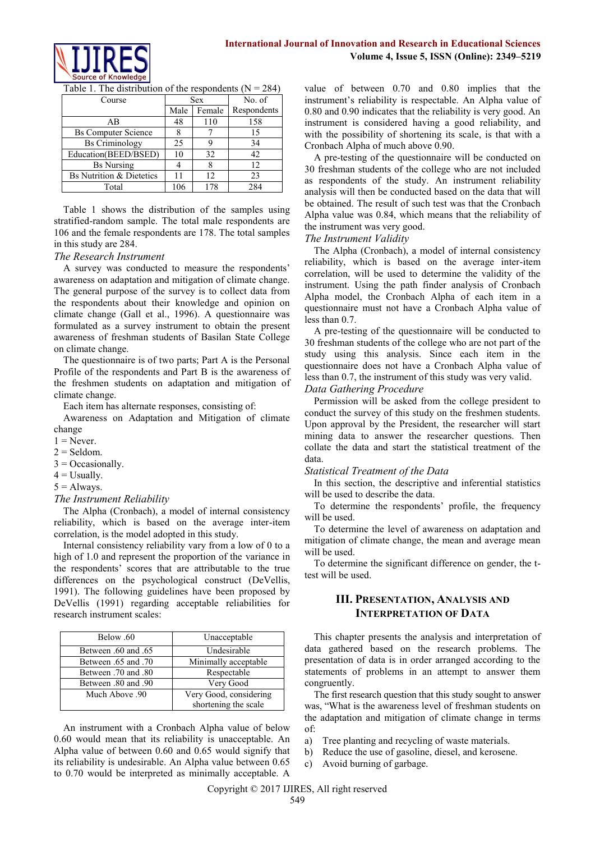

| Course                              |      | <b>Sex</b> | No. of            |
|-------------------------------------|------|------------|-------------------|
|                                     | Male | Female     | Respondents       |
| AB                                  | 48   | 110        | 158               |
| <b>Bs Computer Science</b>          |      |            | 15                |
| <b>Bs Criminology</b>               | 25   |            | 34                |
| Education(BEED/BSED)                | 10   | 32         | 42                |
| <b>Bs Nursing</b>                   |      |            | $12 \overline{)}$ |
| <b>Bs Nutrition &amp; Dietetics</b> |      | 12         | 23                |
| Total                               | 106  | 178        | 284               |

Table 1. The distribution of the respondents  $(N = 284)$ 

Table 1 shows the distribution of the samples using stratified-random sample. The total male respondents are 106 and the female respondents are 178. The total samples in this study are 284.

## *The Research Instrument*

A survey was conducted to measure the respondents' awareness on adaptation and mitigation of climate change. The general purpose of the survey is to collect data from the respondents about their knowledge and opinion on climate change (Gall et al., 1996). A questionnaire was formulated as a survey instrument to obtain the present awareness of freshman students of Basilan State College on climate change.

The questionnaire is of two parts; Part A is the Personal Profile of the respondents and Part B is the awareness of the freshmen students on adaptation and mitigation of climate change.

Each item has alternate responses, consisting of:

Awareness on Adaptation and Mitigation of climate change

- $1 =$  Never.
- $2 =$  Seldom.
- $3 = Occasionally$ .
- $4 =$  Usually.
- $5 =$  Always.

#### *The Instrument Reliability*

The Alpha (Cronbach), a model of internal consistency reliability, which is based on the average inter-item correlation, is the model adopted in this study.

Internal consistency reliability vary from a low of 0 to a high of 1.0 and represent the proportion of the variance in the respondents' scores that are attributable to the true differences on the psychological construct (DeVellis, 1991). The following guidelines have been proposed by DeVellis (1991) regarding acceptable reliabilities for research instrument scales:

| Below .60           | Unacceptable           |  |  |
|---------------------|------------------------|--|--|
| 65. Between .60 and | Undesirable            |  |  |
| 10. Between .65 and | Minimally acceptable   |  |  |
| 80. Between .70 and | Respectable            |  |  |
| 90. Between .80 and | Very Good              |  |  |
| Much Above 90       | Very Good, considering |  |  |
|                     | shortening the scale   |  |  |

An instrument with a Cronbach Alpha value of below 0.60 would mean that its reliability is unacceptable. An Alpha value of between 0.60 and 0.65 would signify that its reliability is undesirable. An Alpha value between 0.65 to 0.70 would be interpreted as minimally acceptable. A

value of between 0.70 and 0.80 implies that the instrument's reliability is respectable. An Alpha value of 0.80 and 0.90 indicates that the reliability is very good. An instrument is considered having a good reliability, and with the possibility of shortening its scale, is that with a Cronbach Alpha of much above 0.90.

A pre-testing of the questionnaire will be conducted on 30 freshman students of the college who are not included as respondents of the study. An instrument reliability analysis will then be conducted based on the data that will be obtained. The result of such test was that the Cronbach Alpha value was 0.84, which means that the reliability of the instrument was very good.

## *The Instrument Validity*

The Alpha (Cronbach), a model of internal consistency reliability, which is based on the average inter-item correlation, will be used to determine the validity of the instrument. Using the path finder analysis of Cronbach Alpha model, the Cronbach Alpha of each item in a questionnaire must not have a Cronbach Alpha value of less than 0.7.

A pre-testing of the questionnaire will be conducted to 30 freshman students of the college who are not part of the study using this analysis. Since each item in the questionnaire does not have a Cronbach Alpha value of less than 0.7, the instrument of this study was very valid.

## *Data Gathering Procedure*

Permission will be asked from the college president to conduct the survey of this study on the freshmen students. Upon approval by the President, the researcher will start mining data to answer the researcher questions. Then collate the data and start the statistical treatment of the data.

## *Statistical Treatment of the Data*

In this section, the descriptive and inferential statistics will be used to describe the data.

To determine the respondents' profile, the frequency will be used.

To determine the level of awareness on adaptation and mitigation of climate change, the mean and average mean will be used.

To determine the significant difference on gender, the ttest will be used.

# **III. PRESENTATION, ANALYSIS AND INTERPRETATION OF DATA**

This chapter presents the analysis and interpretation of data gathered based on the research problems. The presentation of data is in order arranged according to the statements of problems in an attempt to answer them congruently.

The first research question that this study sought to answer was, "What is the awareness level of freshman students on the adaptation and mitigation of climate change in terms of:

- a) Tree planting and recycling of waste materials.
- b) Reduce the use of gasoline, diesel, and kerosene.
- c) Avoid burning of garbage.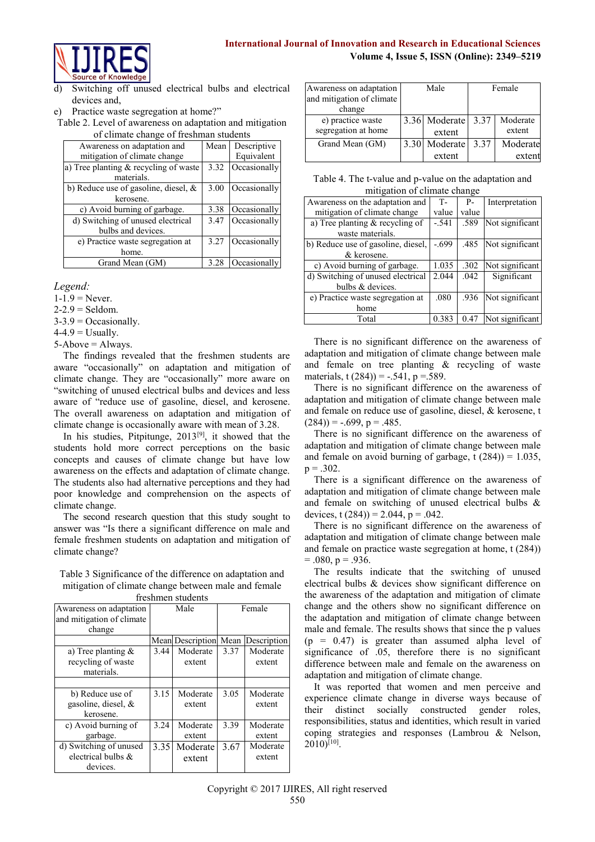# **International Journal of Innovation and Research in Educational Sciences Volume 4, Issue 5, ISSN (Online): 2349–5219**



Switching off unused electrical bulbs and electrical devices and,

Table 2. Level of awareness on adaptation and mitigation of climate change of freshman students

| of chinate change of heshinan stadents  |      |              |  |  |
|-----------------------------------------|------|--------------|--|--|
| Awareness on adaptation and             | Mean | Descriptive  |  |  |
| mitigation of climate change            |      | Equivalent   |  |  |
| a) Tree planting $&$ recycling of waste | 3.32 | Occasionally |  |  |
| materials.                              |      |              |  |  |
| b) Reduce use of gasoline, diesel, $\&$ | 3.00 | Occasionally |  |  |
| kerosene.                               |      |              |  |  |
| c) Avoid burning of garbage.            | 3.38 | Occasionally |  |  |
| d) Switching of unused electrical       | 3.47 | Occasionally |  |  |
| bulbs and devices.                      |      |              |  |  |
| e) Practice waste segregation at        | 3.27 | Occasionally |  |  |
| home.                                   |      |              |  |  |
| Grand Mean (GM)                         | 3.28 | Occasionally |  |  |

*Legend:*

- $1 1.9$  = Never.
- $2-2.9$  = Seldom.
- $3-3.9$  = Occasionally.

 $4-4.9$  = Usually.

 $5 - Above = Always$ .

The findings revealed that the freshmen students are aware "occasionally" on adaptation and mitigation of climate change. They are "occasionally" more aware on "switching of unused electrical bulbs and devices and less aware of "reduce use of gasoline, diesel, and kerosene. The overall awareness on adaptation and mitigation of climate change is occasionally aware with mean of 3.28.

In his studies, Pitpitunge,  $2013^{[9]}$ , it showed that the students hold more correct perceptions on the basic concepts and causes of climate change but have low awareness on the effects and adaptation of climate change. The students also had alternative perceptions and they had poor knowledge and comprehension on the aspects of climate change.

The second research question that this study sought to answer was "Is there a significant difference on male and female freshmen students on adaptation and mitigation of climate change?

Table 3 Significance of the difference on adaptation and mitigation of climate change between male and female freshmen students

| поэшпон эшионкэ           |      |                  |        |             |
|---------------------------|------|------------------|--------|-------------|
| Awareness on adaptation   | Male |                  | Female |             |
| and mitigation of climate |      |                  |        |             |
| change                    |      |                  |        |             |
|                           |      | Mean Description | Mean   | Description |
| a) Tree planting $\&$     | 3.44 | Moderate         | 3.37   | Moderate    |
| recycling of waste        |      | extent           |        | extent      |
| materials.                |      |                  |        |             |
|                           |      |                  |        |             |
| b) Reduce use of          | 3.15 | Moderate         | 3.05   | Moderate    |
| gasoline, diesel, &       |      | extent           |        | extent      |
| kerosene.                 |      |                  |        |             |
| c) Avoid burning of       | 3.24 | Moderate         | 3.39   | Moderate    |
| garbage.                  |      | extent           |        | extent      |
| d) Switching of unused    | 3.35 | Moderate         | 3.67   | Moderate    |
| electrical bulbs $\&$     |      | extent           |        | extent      |
| devices.                  |      |                  |        |             |

| Awareness on adaptation             | Male          | Female |          |
|-------------------------------------|---------------|--------|----------|
| and mitigation of climate<br>change |               |        |          |
| e) practice waste                   | 3.36 Moderate | 3.37   | Moderate |
| segregation at home                 | extent        |        | extent   |
| Grand Mean (GM)                     | 3.30 Moderate | 3.37   | Moderate |
|                                     | extent        |        | exten    |

Table 4. The t-value and p-value on the adaptation and mitigation of climate change

| Awareness on the adaptation and    | $T-$    | $P -$ | Interpretation  |  |
|------------------------------------|---------|-------|-----------------|--|
| mitigation of climate change       | value   | value |                 |  |
| a) Tree planting $&$ recycling of  | $-.541$ | .589  | Not significant |  |
| waste materials.                   |         |       |                 |  |
| b) Reduce use of gasoline, diesel, | $-699$  | .485  | Not significant |  |
| & kerosene.                        |         |       |                 |  |
| c) Avoid burning of garbage.       | 1.035   | .302  | Not significant |  |
| d) Switching of unused electrical  | 2.044   | .042  | Significant     |  |
| bulbs & devices.                   |         |       |                 |  |
| e) Practice waste segregation at   | .080    | .936  | Not significant |  |
| home                               |         |       |                 |  |
| Total                              | 0.383   | 0.47  | Not significant |  |

There is no significant difference on the awareness of adaptation and mitigation of climate change between male and female on tree planting & recycling of waste materials, t  $(284)$ ) = -.541, p =.589.

There is no significant difference on the awareness of adaptation and mitigation of climate change between male and female on reduce use of gasoline, diesel, & kerosene, t  $(284)$ ) = -.699, p = .485.

There is no significant difference on the awareness of adaptation and mitigation of climate change between male and female on avoid burning of garbage,  $t(284) = 1.035$ ,  $p = .302$ .

There is a significant difference on the awareness of adaptation and mitigation of climate change between male and female on switching of unused electrical bulbs & devices, t  $(284)$ ) = 2.044, p = .042.

There is no significant difference on the awareness of adaptation and mitigation of climate change between male and female on practice waste segregation at home, t (284))  $= .080, p = .936.$ 

The results indicate that the switching of unused electrical bulbs & devices show significant difference on the awareness of the adaptation and mitigation of climate change and the others show no significant difference on the adaptation and mitigation of climate change between male and female. The results shows that since the p values  $(p = 0.47)$  is greater than assumed alpha level of significance of .05, therefore there is no significant difference between male and female on the awareness on adaptation and mitigation of climate change.

It was reported that women and men perceive and experience climate change in diverse ways because of their distinct socially constructed gender roles, responsibilities, status and identities, which result in varied coping strategies and responses (Lambrou & Nelson,  $2010$ <sup>[10]</sup>.

e) Practice waste segregation at home?"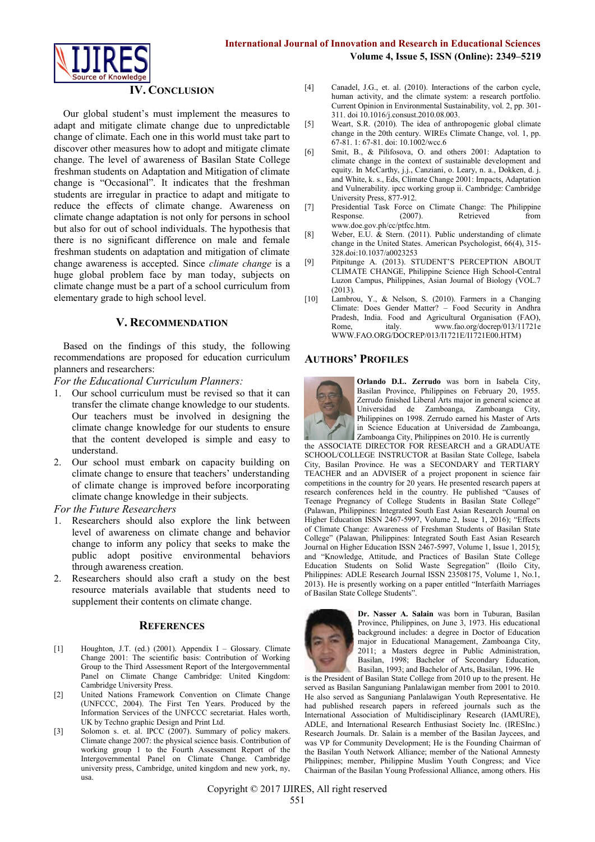

## **IV. CONCLUSION**

Our global student's must implement the measures to adapt and mitigate climate change due to unpredictable change of climate. Each one in this world must take part to discover other measures how to adopt and mitigate climate change. The level of awareness of Basilan State College freshman students on Adaptation and Mitigation of climate change is "Occasional". It indicates that the freshman students are irregular in practice to adapt and mitigate to reduce the effects of climate change. Awareness on climate change adaptation is not only for persons in school but also for out of school individuals. The hypothesis that there is no significant difference on male and female freshman students on adaptation and mitigation of climate change awareness is accepted. Since *climate change* is a huge global problem face by man today, subjects on climate change must be a part of a school curriculum from elementary grade to high school level.

#### **V. RECOMMENDATION**

Based on the findings of this study, the following recommendations are proposed for education curriculum planners and researchers:

*For the Educational Curriculum Planners:*

- 1. Our school curriculum must be revised so that it can transfer the climate change knowledge to our students. Our teachers must be involved in designing the climate change knowledge for our students to ensure that the content developed is simple and easy to understand.
- 2. Our school must embark on capacity building on climate change to ensure that teachers' understanding of climate change is improved before incorporating climate change knowledge in their subjects.

*For the Future Researchers*

- 1. Researchers should also explore the link between level of awareness on climate change and behavior change to inform any policy that seeks to make the public adopt positive environmental behaviors through awareness creation.
- 2. Researchers should also craft a study on the best resource materials available that students need to supplement their contents on climate change.

#### **REFERENCES**

- [1] Houghton, J.T. (ed.) (2001). Appendix I Glossary. Climate Change 2001: The scientific basis: Contribution of Working Group to the Third Assessment Report of the Intergovernmental Panel on Climate Change Cambridge: United Kingdom: Cambridge University Press.
- [2] United Nations Framework Convention on Climate Change (UNFCCC, 2004). The First Ten Years. Produced by the Information Services of the UNFCCC secretariat. Hales worth, UK by Techno graphic Design and Print Ltd.
- [3] Solomon s. et. al. IPCC (2007). Summary of policy makers. Climate change 2007: the physical science basis. Contribution of working group 1 to the Fourth Assessment Report of the Intergovernmental Panel on Climate Change. Cambridge university press, Cambridge, united kingdom and new york, ny, usa.
- [4] Canadel, J.G., et. al. (2010). Interactions of the carbon cycle, human activity, and the climate system: a research portfolio. Current Opinion in Environmental Sustainability, vol. 2, pp. 301- 311. doi 10.1016/j.consust.2010.08.003.
- [5] Weart, S.R. (2010). The idea of anthropogenic global climate change in the 20th century. WIREs Climate Change, vol. 1, pp. 67-81. 1: 67-81. doi: 10.1002/wcc.6
- [6] Smit, B., & Pilifosova, O. and others 2001: Adaptation to climate change in the context of sustainable development and equity. In McCarthy, j.j., Canziani, o. Leary, n. a., Dokken, d. j. and White, k. s., Eds, Climate Change 2001: Impacts, Adaptation and Vulnerability. ipcc working group ii. Cambridge: Cambridge University Press, 877-912.
- [7] Presidential Task Force on Climate Change: The Philippine Response. www.doe.gov.ph/cc/ptfcc.htm.
- [8] Weber, E.U. & Stern. (2011). Public understanding of climate change in the United States. American Psychologist, 66(4), 315- 328.doi:10.1037/a0023253
- [9] Pitpitunge A. (2013). STUDENT'S PERCEPTION ABOUT CLIMATE CHANGE, Philippine Science High School-Central Luzon Campus, Philippines, Asian Journal of Biology (VOL.7 (2013).
- [10] Lambrou, Y., & Nelson, S. (2010). Farmers in a Changing Climate: Does Gender Matter? – Food Security in Andhra Pradesh, India. Food and Agricultural Organisation (FAO),<br>Rome italy www.fao.org/docrep/013/11721e Rome, italy. [www.fao.org/docrep/013/11721e](http://www.fao.org/docrep/013/11721e) [WWW.FAO.ORG/DOCREP/013/I1721E/I1721E00.HTM\)](http://www.fao.org/DOCREP/013/I1721E/I1721E00.HTM)

## **AUTHORS' PROFILES**



**Orlando D.L. Zerrudo** was born in Isabela City, Basilan Province, Philippines on February 20, 1955. Zerrudo finished Liberal Arts major in general science at Universidad de Zamboanga, Zamboanga City, Philippines on 1998. Zerrudo earned his Master of Arts in Science Education at Universidad de Zamboanga, Zamboanga City, Philippines on 2010. He is currently

the ASSOCIATE DIRECTOR FOR RESEARCH and a GRADUATE SCHOOL/COLLEGE INSTRUCTOR at Basilan State College, Isabela City, Basilan Province. He was a SECONDARY and TERTIARY TEACHER and an ADVISER of a project proponent in science fair competitions in the country for 20 years. He presented research papers at research conferences held in the country. He published "Causes of Teenage Pregnancy of College Students in Basilan State College" (Palawan, Philippines: Integrated South East Asian Research Journal on Higher Education ISSN 2467-5997, Volume 2, Issue 1, 2016); "Effects of Climate Change: Awareness of Freshman Students of Basilan State College" (Palawan, Philippines: Integrated South East Asian Research Journal on Higher Education ISSN 2467-5997, Volume 1, Issue 1, 2015); and "Knowledge, Attitude, and Practices of Basilan State College Education Students on Solid Waste Segregation" (Iloilo City, Philippines: ADLE Research Journal ISSN 23508175, Volume 1, No.1, 2013). He is presently working on a paper entitled "Interfaith Marriages of Basilan State College Students".



**Dr. Nasser A. Salain** was born in Tuburan, Basilan Province, Philippines, on June 3, 1973. His educational background includes: a degree in Doctor of Education major in Educational Management, Zamboanga City, 2011; a Masters degree in Public Administration, Basilan, 1998; Bachelor of Secondary Education, Basilan, 1993; and Bachelor of Arts, Basilan, 1996. He

is the President of Basilan State College from 2010 up to the present. He served as Basilan Sanguniang Panlalawigan member from 2001 to 2010. He also served as Sanguniang Panlalawigan Youth Representative. He had published research papers in refereed journals such as the International Association of Multidisciplinary Research (IAMURE), ADLE, and International Research Enthusiast Society Inc. (IRESInc.) Research Journals. Dr. Salain is a member of the Basilan Jaycees, and was VP for Community Development; He is the Founding Chairman of the Basilan Youth Network Alliance; member of the National Amnesty Philippines; member, Philippine Muslim Youth Congress; and Vice Chairman of the Basilan Young Professional Alliance, among others. His

Copyright © 2017 IJIRES, All right reserved